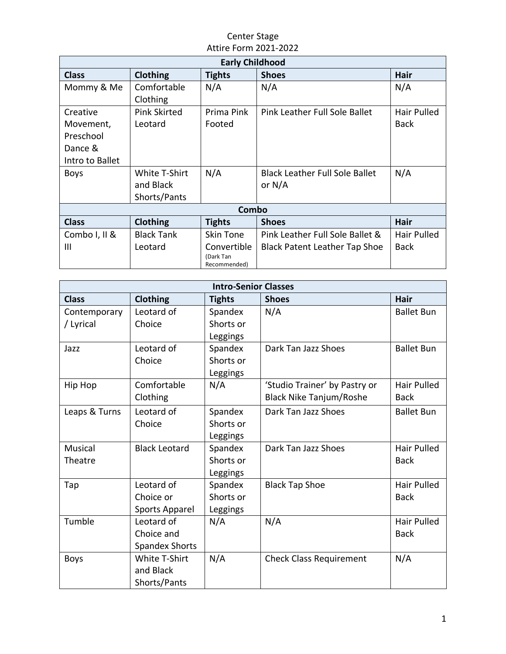## Center Stage Attire Form 2021-2022

| <b>Early Childhood</b> |                     |                           |                                       |             |  |  |  |  |
|------------------------|---------------------|---------------------------|---------------------------------------|-------------|--|--|--|--|
| <b>Class</b>           | <b>Clothing</b>     | <b>Tights</b>             | <b>Shoes</b>                          | <b>Hair</b> |  |  |  |  |
| Mommy & Me             | Comfortable         | N/A                       | N/A                                   | N/A         |  |  |  |  |
|                        | Clothing            |                           |                                       |             |  |  |  |  |
| Creative               | <b>Pink Skirted</b> | Prima Pink                | Pink Leather Full Sole Ballet         | Hair Pulled |  |  |  |  |
| Movement,              | Leotard             | Footed                    |                                       | Back        |  |  |  |  |
| Preschool              |                     |                           |                                       |             |  |  |  |  |
| Dance &                |                     |                           |                                       |             |  |  |  |  |
| Intro to Ballet        |                     |                           |                                       |             |  |  |  |  |
| <b>Boys</b>            | White T-Shirt       | N/A                       | <b>Black Leather Full Sole Ballet</b> | N/A         |  |  |  |  |
|                        | and Black           |                           | or $N/A$                              |             |  |  |  |  |
|                        | Shorts/Pants        |                           |                                       |             |  |  |  |  |
| Combo                  |                     |                           |                                       |             |  |  |  |  |
| <b>Class</b>           | Clothing            | <b>Tights</b>             | <b>Shoes</b>                          | <b>Hair</b> |  |  |  |  |
| Combo I, II &          | <b>Black Tank</b>   | Skin Tone                 | Pink Leather Full Sole Ballet &       | Hair Pulled |  |  |  |  |
| Ш                      | Leotard             | Convertible               | <b>Black Patent Leather Tap Shoe</b>  | <b>Back</b> |  |  |  |  |
|                        |                     | (Dark Tan<br>Recommended) |                                       |             |  |  |  |  |

| <b>Intro-Senior Classes</b> |                       |               |                                |                    |  |  |  |  |
|-----------------------------|-----------------------|---------------|--------------------------------|--------------------|--|--|--|--|
| <b>Class</b>                | Clothing              | <b>Tights</b> | <b>Shoes</b>                   | <b>Hair</b>        |  |  |  |  |
| Contemporary                | Leotard of            | Spandex       | N/A                            | <b>Ballet Bun</b>  |  |  |  |  |
| / Lyrical                   | Choice                | Shorts or     |                                |                    |  |  |  |  |
|                             |                       | Leggings      |                                |                    |  |  |  |  |
| Jazz                        | Leotard of            | Spandex       | Dark Tan Jazz Shoes            | <b>Ballet Bun</b>  |  |  |  |  |
|                             | Choice                | Shorts or     |                                |                    |  |  |  |  |
|                             |                       | Leggings      |                                |                    |  |  |  |  |
| Hip Hop                     | Comfortable           | N/A           | 'Studio Trainer' by Pastry or  | Hair Pulled        |  |  |  |  |
|                             | Clothing              |               | <b>Black Nike Tanjum/Roshe</b> | <b>Back</b>        |  |  |  |  |
| Leaps & Turns               | Leotard of            | Spandex       | Dark Tan Jazz Shoes            | <b>Ballet Bun</b>  |  |  |  |  |
|                             | Choice                | Shorts or     |                                |                    |  |  |  |  |
|                             |                       | Leggings      |                                |                    |  |  |  |  |
| Musical                     | <b>Black Leotard</b>  | Spandex       | Dark Tan Jazz Shoes            | <b>Hair Pulled</b> |  |  |  |  |
| Theatre                     |                       | Shorts or     |                                | <b>Back</b>        |  |  |  |  |
|                             |                       | Leggings      |                                |                    |  |  |  |  |
| Tap                         | Leotard of            | Spandex       | <b>Black Tap Shoe</b>          | <b>Hair Pulled</b> |  |  |  |  |
|                             | Choice or             | Shorts or     |                                | <b>Back</b>        |  |  |  |  |
|                             | Sports Apparel        | Leggings      |                                |                    |  |  |  |  |
| Tumble                      | Leotard of            | N/A           | N/A                            | Hair Pulled        |  |  |  |  |
|                             | Choice and            |               |                                | <b>Back</b>        |  |  |  |  |
|                             | <b>Spandex Shorts</b> |               |                                |                    |  |  |  |  |
| <b>Boys</b>                 | <b>White T-Shirt</b>  | N/A           | <b>Check Class Requirement</b> | N/A                |  |  |  |  |
|                             | and Black             |               |                                |                    |  |  |  |  |
|                             | Shorts/Pants          |               |                                |                    |  |  |  |  |